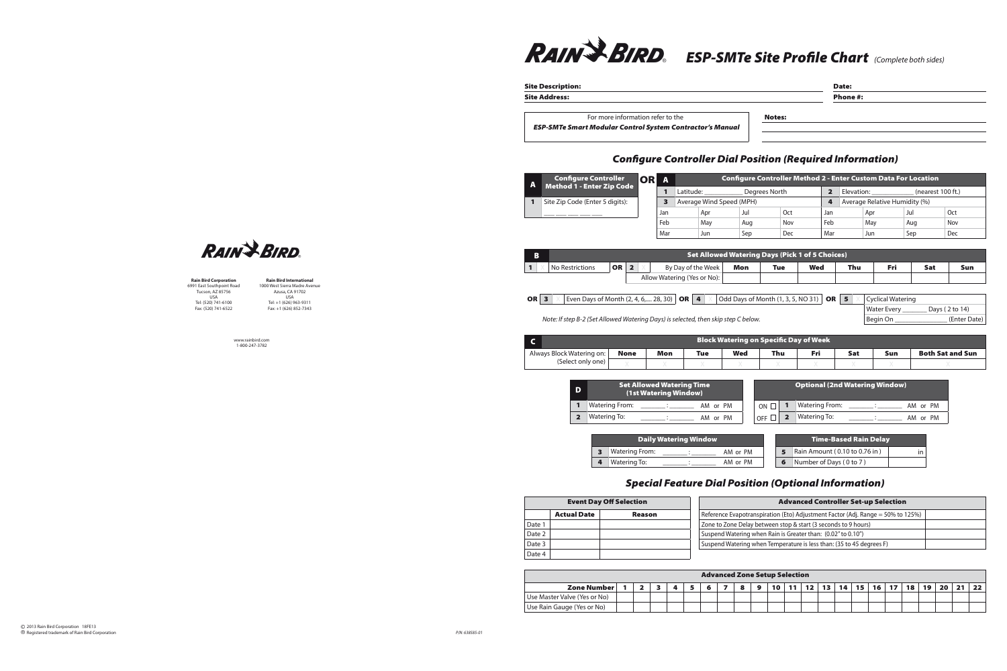

Site Description: Date:

Site Address: Phone #:

Water Every \_\_\_\_\_\_\_\_\_\_ Days (2 to 14)

For more information refer to the Notes:

*ESP-SMTe Smart Modular Control System Contractor's Manual*

## *Configure Controller Dial Position (Required Information)*

| $\mathbf{A}$ | <b>Configure Controller</b>                    | ORI | A   |                             |            |                                                        |            | <b>Configure Controller Method 2 - Enter Custom Data For Location</b> |                               |                          |            |     |  |  |  |  |  |  |
|--------------|------------------------------------------------|-----|-----|-----------------------------|------------|--------------------------------------------------------|------------|-----------------------------------------------------------------------|-------------------------------|--------------------------|------------|-----|--|--|--|--|--|--|
|              | <b>Method 1 - Enter Zip Code</b>               |     |     | Latitude:                   |            | Degrees North                                          |            | $\overline{\mathbf{2}}$                                               | Elevation: (nearest 100 ft.)  |                          |            |     |  |  |  |  |  |  |
|              | Site Zip Code (Enter 5 digits):                |     | 3   | Average Wind Speed (MPH)    |            |                                                        |            | 4                                                                     | Average Relative Humidity (%) |                          |            |     |  |  |  |  |  |  |
|              | Jan                                            |     |     | Apr                         | Jul        | Oct                                                    |            | Jan                                                                   | Apr                           |                          | Jul        | Oct |  |  |  |  |  |  |
|              |                                                |     | Feb | May                         | Aug        | Nov                                                    |            | Feb                                                                   | May                           |                          | Aug        | Nov |  |  |  |  |  |  |
|              |                                                |     | Mar | Jun                         | Sep        | <b>Dec</b>                                             |            | Mar                                                                   | Jun                           |                          | Sep        | Dec |  |  |  |  |  |  |
|              |                                                |     |     |                             |            |                                                        |            |                                                                       |                               |                          |            |     |  |  |  |  |  |  |
| B            |                                                |     |     |                             |            | <b>Set Allowed Watering Days (Pick 1 of 5 Choices)</b> |            |                                                                       |                               |                          |            |     |  |  |  |  |  |  |
|              | <b>OR</b><br>$\overline{2}$<br>No Restrictions |     |     | By Day of the Week          | <b>Mon</b> | <b>Tue</b>                                             | <b>Wed</b> |                                                                       | <b>Fri</b><br>Thu             |                          | <b>Sat</b> | Sun |  |  |  |  |  |  |
|              |                                                |     |     | Allow Watering (Yes or No): |            |                                                        |            |                                                                       |                               |                          |            |     |  |  |  |  |  |  |
|              |                                                |     |     |                             |            |                                                        |            |                                                                       |                               |                          |            |     |  |  |  |  |  |  |
| OR $\vert$ 3 | Even Days of Month (2, 4, 6,  28, 30)          |     |     | <b>OR</b> 4                 |            | Odd Days of Month (1, 3, 5, NO 31)                     |            | OR 5                                                                  |                               | <b>Cyclical Watering</b> |            |     |  |  |  |  |  |  |

*Note: If step B-2 (Set Allowed Watering Days) is selected, then skip step C below.* Begin On \_\_\_\_\_\_\_\_\_\_\_\_\_\_\_ (Enter Date)

|                           | <b>Block Watering on Specific Day of Week</b> |            |            |            |     |     |     |     |                         |  |  |  |  |  |  |
|---------------------------|-----------------------------------------------|------------|------------|------------|-----|-----|-----|-----|-------------------------|--|--|--|--|--|--|
| Always Block Watering on: | <b>None</b>                                   | <b>Mon</b> | <b>Tue</b> | <b>Wed</b> | Thu | Fri | Sat | Sun | <b>Both Sat and Sun</b> |  |  |  |  |  |  |
| (Select only one)         |                                               |            |            |            |     |     |     |     |                         |  |  |  |  |  |  |

| D |                       | <b>Set Allowed Watering Time</b><br>(1st Watering Window) |          |            | <b>Optional (2nd Watering Window)</b> |                       |          |  |  |  |  |  |  |
|---|-----------------------|-----------------------------------------------------------|----------|------------|---------------------------------------|-----------------------|----------|--|--|--|--|--|--|
|   | <b>Watering From:</b> |                                                           | AM or PM | ON $\Box$  |                                       | <b>Watering From:</b> | AM or PM |  |  |  |  |  |  |
|   | Watering To:          |                                                           | AM or PM | <b>OFF</b> |                                       | Watering To:          | AM or PM |  |  |  |  |  |  |

|                       | <b>Daily Watering Window</b> |          | <b>Time-Based Rain Delay</b> |                               |  |
|-----------------------|------------------------------|----------|------------------------------|-------------------------------|--|
| <b>Watering From:</b> |                              | AM or PM |                              | Rain Amount (0.10 to 0.76 in) |  |
| Watering To:          |                              | AM or PM |                              | Number of Days (0 to 7)       |  |

## *Special Feature Dial Position (Optional Information)*

|        |                    | <b>Event Day Off Selection</b> | <b>Advanced Controller Set-up Selection</b>                                        |  |  |  |  |  |  |  |  |  |
|--------|--------------------|--------------------------------|------------------------------------------------------------------------------------|--|--|--|--|--|--|--|--|--|
|        | <b>Actual Date</b> | <b>Reason</b>                  | Reference Evapotranspiration (Eto) Adjustment Factor (Adj. Range = $50\%$ to 125%) |  |  |  |  |  |  |  |  |  |
| Date 1 |                    |                                | Zone to Zone Delay between stop & start (3 seconds to 9 hours)                     |  |  |  |  |  |  |  |  |  |
| Date 2 |                    |                                | Suspend Watering when Rain is Greater than: (0.02" to 0.10")                       |  |  |  |  |  |  |  |  |  |
| Date 3 |                    |                                | <sup>1</sup> Suspend Watering when Temperature is less than: (35 to 45 degrees F)  |  |  |  |  |  |  |  |  |  |
| Date 4 |                    |                                |                                                                                    |  |  |  |  |  |  |  |  |  |

| <b>Advanced Zone Setup Selection</b>                                                                           |  |  |  |  |  |  |  |  |  |  |  |  |    |  |  |  |  |  |  |
|----------------------------------------------------------------------------------------------------------------|--|--|--|--|--|--|--|--|--|--|--|--|----|--|--|--|--|--|--|
| Zone Number<br>12<br>15 <sub>1</sub><br>14<br>$16$ 17<br><b>Sept</b><br>13<br>18<br>10<br>19<br>20<br>21<br>11 |  |  |  |  |  |  |  |  |  |  |  |  | 22 |  |  |  |  |  |  |
| Use Master Valve (Yes or No)                                                                                   |  |  |  |  |  |  |  |  |  |  |  |  |    |  |  |  |  |  |  |
| Use Rain Gauge (Yes or No)                                                                                     |  |  |  |  |  |  |  |  |  |  |  |  |    |  |  |  |  |  |  |



**Rain Bird Corporation** 6991 East Southpoint Road Tucson, AZ 85756 USA Tel: (520) 741-6100 Fax: (520) 741-6522

**Rain Bird International** 1000 West Sierra Madre Avenue Azusa, CA 91702 USA Tel: +1 (626) 963-9311 Fax: +1 (626) 852-7343

www.rainbird.com 1-800-247-3782

 2013 Rain Bird Corporation 18FE13 Registered trademark of Rain Bird Corporation